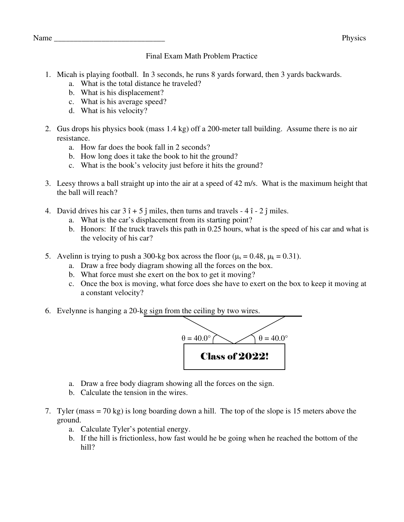## Final Exam Math Problem Practice

- 1. Micah is playing football. In 3 seconds, he runs 8 yards forward, then 3 yards backwards.
	- a. What is the total distance he traveled?
	- b. What is his displacement?
	- c. What is his average speed?
	- d. What is his velocity?
- 2. Gus drops his physics book (mass 1.4 kg) off a 200-meter tall building. Assume there is no air resistance.
	- a. How far does the book fall in 2 seconds?
	- b. How long does it take the book to hit the ground?
	- c. What is the book's velocity just before it hits the ground?
- 3. Leesy throws a ball straight up into the air at a speed of 42 m/s. What is the maximum height that the ball will reach?
- 4. David drives his car  $3 \hat{i} + 5 \hat{j}$  miles, then turns and travels  $4 \hat{i}$   $2 \hat{j}$  miles.
	- a. What is the car's displacement from its starting point?
	- b. Honors: If the truck travels this path in 0.25 hours, what is the speed of his car and what is the velocity of his car?
- 5. Avelinn is trying to push a 300-kg box across the floor ( $\mu_s = 0.48$ ,  $\mu_k = 0.31$ ).
	- a. Draw a free body diagram showing all the forces on the box.
	- b. What force must she exert on the box to get it moving?
	- c. Once the box is moving, what force does she have to exert on the box to keep it moving at a constant velocity?
- 6. Evelynne is hanging a 20-kg sign from the ceiling by two wires.



- a. Draw a free body diagram showing all the forces on the sign.
- b. Calculate the tension in the wires.
- 7. Tyler (mass = 70 kg) is long boarding down a hill. The top of the slope is 15 meters above the ground.
	- a. Calculate Tyler's potential energy.
	- b. If the hill is frictionless, how fast would he be going when he reached the bottom of the hill?